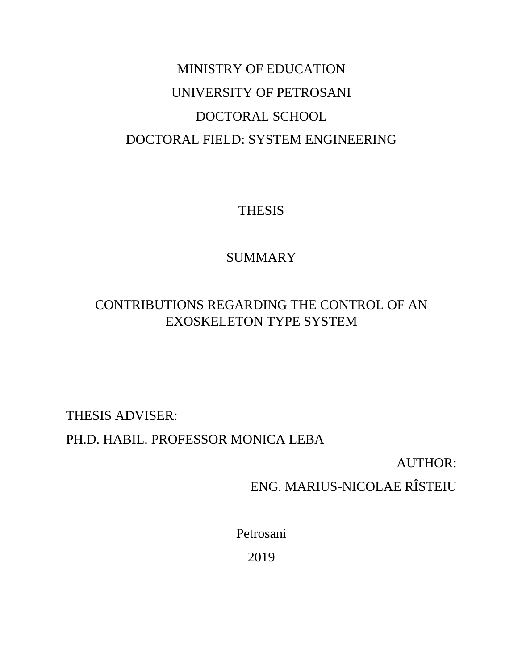# MINISTRY OF EDUCATION UNIVERSITY OF PETROSANI DOCTORAL SCHOOL DOCTORAL FIELD: SYSTEM ENGINEERING

THESIS

# **SUMMARY**

# CONTRIBUTIONS REGARDING THE CONTROL OF AN EXOSKELETON TYPE SYSTEM

THESIS ADVISER:

PH.D. HABIL. PROFESSOR MONICA LEBA

AUTHOR:

ENG. MARIUS-NICOLAE RÎSTEIU

Petrosani 2019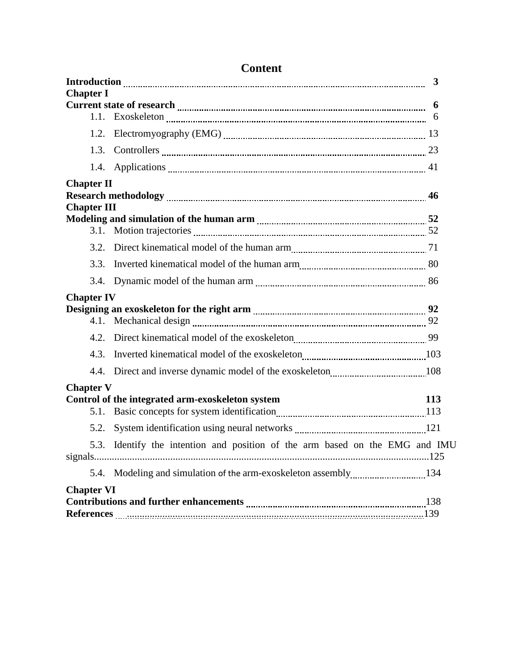|                                                                                                                                                                                                                                      |      | $\mathbf{3}$                                                            |  |  |
|--------------------------------------------------------------------------------------------------------------------------------------------------------------------------------------------------------------------------------------|------|-------------------------------------------------------------------------|--|--|
| <b>Chapter I</b>                                                                                                                                                                                                                     |      |                                                                         |  |  |
|                                                                                                                                                                                                                                      |      | 6                                                                       |  |  |
|                                                                                                                                                                                                                                      | 1.2. |                                                                         |  |  |
|                                                                                                                                                                                                                                      | 1.3. |                                                                         |  |  |
|                                                                                                                                                                                                                                      |      |                                                                         |  |  |
| <b>Chapter II</b>                                                                                                                                                                                                                    |      |                                                                         |  |  |
|                                                                                                                                                                                                                                      |      |                                                                         |  |  |
| <b>Chapter III</b>                                                                                                                                                                                                                   |      |                                                                         |  |  |
|                                                                                                                                                                                                                                      | 3.1. |                                                                         |  |  |
|                                                                                                                                                                                                                                      | 3.2. |                                                                         |  |  |
|                                                                                                                                                                                                                                      | 3.3. |                                                                         |  |  |
|                                                                                                                                                                                                                                      | 3.4. |                                                                         |  |  |
|                                                                                                                                                                                                                                      |      |                                                                         |  |  |
| <b>Chapter IV</b>                                                                                                                                                                                                                    |      |                                                                         |  |  |
|                                                                                                                                                                                                                                      |      |                                                                         |  |  |
|                                                                                                                                                                                                                                      | 4.2. |                                                                         |  |  |
|                                                                                                                                                                                                                                      | 4.3. |                                                                         |  |  |
|                                                                                                                                                                                                                                      |      |                                                                         |  |  |
| <b>Chapter V</b>                                                                                                                                                                                                                     |      |                                                                         |  |  |
|                                                                                                                                                                                                                                      |      | Control of the integrated arm-exoskeleton system<br>113                 |  |  |
|                                                                                                                                                                                                                                      | 5.1. |                                                                         |  |  |
|                                                                                                                                                                                                                                      | 5.2. |                                                                         |  |  |
|                                                                                                                                                                                                                                      | 5.3. | Identify the intention and position of the arm based on the EMG and IMU |  |  |
|                                                                                                                                                                                                                                      |      |                                                                         |  |  |
| <b>Chapter VI</b>                                                                                                                                                                                                                    |      |                                                                         |  |  |
|                                                                                                                                                                                                                                      |      |                                                                         |  |  |
| References <b>Maria Communication and Contract Contract Contract Contract Contract Contract Contract Contract Contract Contract Contract Contract Contract Contract Contract Contract Contract Contract Contract Contract Contra</b> |      |                                                                         |  |  |

# **Content**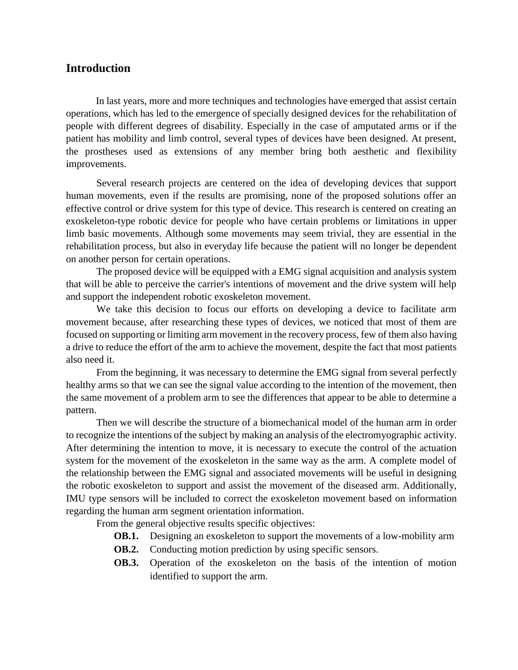# **Introduction**

In last years, more and more techniques and technologies have emerged that assist certain operations, which has led to the emergence of specially designed devices for the rehabilitation of people with different degrees of disability. Especially in the case of amputated arms or if the patient has mobility and limb control, several types of devices have been designed. At present, the prostheses used as extensions of any member bring both aesthetic and flexibility improvements.

Several research projects are centered on the idea of developing devices that support human movements, even if the results are promising, none of the proposed solutions offer an effective control or drive system for this type of device. This research is centered on creating an exoskeleton-type robotic device for people who have certain problems or limitations in upper limb basic movements. Although some movements may seem trivial, they are essential in the rehabilitation process, but also in everyday life because the patient will no longer be dependent on another person for certain operations.

The proposed device will be equipped with a EMG signal acquisition and analysis system that will be able to perceive the carrier's intentions of movement and the drive system will help and support the independent robotic exoskeleton movement.

We take this decision to focus our efforts on developing a device to facilitate arm movement because, after researching these types of devices, we noticed that most of them are focused on supporting or limiting arm movement in the recovery process, few of them also having a drive to reduce the effort of the arm to achieve the movement, despite the fact that most patients also need it.

From the beginning, it was necessary to determine the EMG signal from several perfectly healthy arms so that we can see the signal value according to the intention of the movement, then the same movement of a problem arm to see the differences that appear to be able to determine a pattern.

Then we will describe the structure of a biomechanical model of the human arm in order to recognize the intentions of the subject by making an analysis of the electromyographic activity. After determining the intention to move, it is necessary to execute the control of the actuation system for the movement of the exoskeleton in the same way as the arm. A complete model of the relationship between the EMG signal and associated movements will be useful in designing the robotic exoskeleton to support and assist the movement of the diseased arm. Additionally, IMU type sensors will be included to correct the exoskeleton movement based on information regarding the human arm segment orientation information.

From the general objective results specific objectives:

- **OB.1.** Designing an exoskeleton to support the movements of a low-mobility arm
- **OB.2.** Conducting motion prediction by using specific sensors.
- **OB.3.** Operation of the exoskeleton on the basis of the intention of motion identified to support the arm.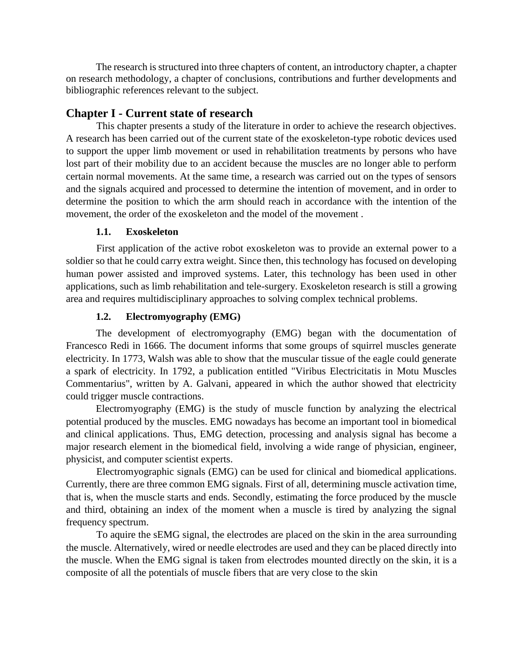The research is structured into three chapters of content, an introductory chapter, a chapter on research methodology, a chapter of conclusions, contributions and further developments and bibliographic references relevant to the subject.

# **Chapter I - Current state of research**

This chapter presents a study of the literature in order to achieve the research objectives. A research has been carried out of the current state of the exoskeleton-type robotic devices used to support the upper limb movement or used in rehabilitation treatments by persons who have lost part of their mobility due to an accident because the muscles are no longer able to perform certain normal movements. At the same time, a research was carried out on the types of sensors and the signals acquired and processed to determine the intention of movement, and in order to determine the position to which the arm should reach in accordance with the intention of the movement, the order of the exoskeleton and the model of the movement .

# **1.1. Exoskeleton**

First application of the active robot exoskeleton was to provide an external power to a soldier so that he could carry extra weight. Since then, this technology has focused on developing human power assisted and improved systems. Later, this technology has been used in other applications, such as limb rehabilitation and tele-surgery. Exoskeleton research is still a growing area and requires multidisciplinary approaches to solving complex technical problems.

# **1.2. Electromyography (EMG)**

The development of electromyography (EMG) began with the documentation of Francesco Redi in 1666. The document informs that some groups of squirrel muscles generate electricity. In 1773, Walsh was able to show that the muscular tissue of the eagle could generate a spark of electricity. In 1792, a publication entitled "Viribus Electricitatis in Motu Muscles Commentarius", written by A. Galvani, appeared in which the author showed that electricity could trigger muscle contractions.

Electromyography (EMG) is the study of muscle function by analyzing the electrical potential produced by the muscles. EMG nowadays has become an important tool in biomedical and clinical applications. Thus, EMG detection, processing and analysis signal has become a major research element in the biomedical field, involving a wide range of physician, engineer, physicist, and computer scientist experts.

Electromyographic signals (EMG) can be used for clinical and biomedical applications. Currently, there are three common EMG signals. First of all, determining muscle activation time, that is, when the muscle starts and ends. Secondly, estimating the force produced by the muscle and third, obtaining an index of the moment when a muscle is tired by analyzing the signal frequency spectrum.

To aquire the sEMG signal, the electrodes are placed on the skin in the area surrounding the muscle. Alternatively, wired or needle electrodes are used and they can be placed directly into the muscle. When the EMG signal is taken from electrodes mounted directly on the skin, it is a composite of all the potentials of muscle fibers that are very close to the skin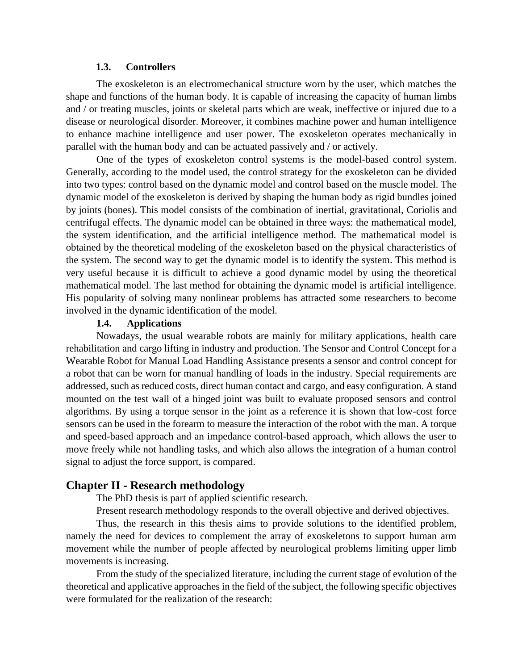#### **1.3. Controllers**

The exoskeleton is an electromechanical structure worn by the user, which matches the shape and functions of the human body. It is capable of increasing the capacity of human limbs and / or treating muscles, joints or skeletal parts which are weak, ineffective or injured due to a disease or neurological disorder. Moreover, it combines machine power and human intelligence to enhance machine intelligence and user power. The exoskeleton operates mechanically in parallel with the human body and can be actuated passively and / or actively.

One of the types of exoskeleton control systems is the model-based control system. Generally, according to the model used, the control strategy for the exoskeleton can be divided into two types: control based on the dynamic model and control based on the muscle model. The dynamic model of the exoskeleton is derived by shaping the human body as rigid bundles joined by joints (bones). This model consists of the combination of inertial, gravitational, Coriolis and centrifugal effects. The dynamic model can be obtained in three ways: the mathematical model, the system identification, and the artificial intelligence method. The mathematical model is obtained by the theoretical modeling of the exoskeleton based on the physical characteristics of the system. The second way to get the dynamic model is to identify the system. This method is very useful because it is difficult to achieve a good dynamic model by using the theoretical mathematical model. The last method for obtaining the dynamic model is artificial intelligence. His popularity of solving many nonlinear problems has attracted some researchers to become involved in the dynamic identification of the model.

#### **1.4. Applications**

Nowadays, the usual wearable robots are mainly for military applications, health care rehabilitation and cargo lifting in industry and production. The Sensor and Control Concept for a Wearable Robot for Manual Load Handling Assistance presents a sensor and control concept for a robot that can be worn for manual handling of loads in the industry. Special requirements are addressed, such as reduced costs, direct human contact and cargo, and easy configuration. A stand mounted on the test wall of a hinged joint was built to evaluate proposed sensors and control algorithms. By using a torque sensor in the joint as a reference it is shown that low-cost force sensors can be used in the forearm to measure the interaction of the robot with the man. A torque and speed-based approach and an impedance control-based approach, which allows the user to move freely while not handling tasks, and which also allows the integration of a human control signal to adjust the force support, is compared.

#### **Chapter II - Research methodology**

The PhD thesis is part of applied scientific research.

Present research methodology responds to the overall objective and derived objectives.

Thus, the research in this thesis aims to provide solutions to the identified problem, namely the need for devices to complement the array of exoskeletons to support human arm movement while the number of people affected by neurological problems limiting upper limb movements is increasing.

From the study of the specialized literature, including the current stage of evolution of the theoretical and applicative approaches in the field of the subject, the following specific objectives were formulated for the realization of the research: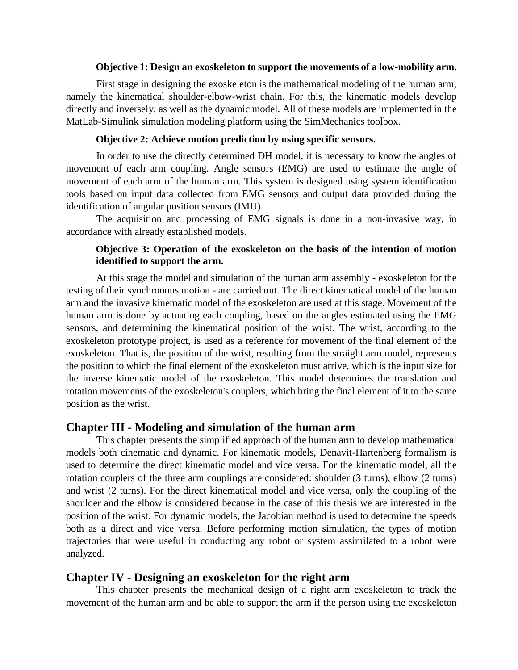#### **Objective 1: Design an exoskeleton to support the movements of a low-mobility arm.**

First stage in designing the exoskeleton is the mathematical modeling of the human arm, namely the kinematical shoulder-elbow-wrist chain. For this, the kinematic models develop directly and inversely, as well as the dynamic model. All of these models are implemented in the MatLab-Simulink simulation modeling platform using the SimMechanics toolbox.

#### **Objective 2: Achieve motion prediction by using specific sensors.**

In order to use the directly determined DH model, it is necessary to know the angles of movement of each arm coupling. Angle sensors (EMG) are used to estimate the angle of movement of each arm of the human arm. This system is designed using system identification tools based on input data collected from EMG sensors and output data provided during the identification of angular position sensors (IMU).

The acquisition and processing of EMG signals is done in a non-invasive way, in accordance with already established models.

### **Objective 3: Operation of the exoskeleton on the basis of the intention of motion identified to support the arm.**

At this stage the model and simulation of the human arm assembly - exoskeleton for the testing of their synchronous motion - are carried out. The direct kinematical model of the human arm and the invasive kinematic model of the exoskeleton are used at this stage. Movement of the human arm is done by actuating each coupling, based on the angles estimated using the EMG sensors, and determining the kinematical position of the wrist. The wrist, according to the exoskeleton prototype project, is used as a reference for movement of the final element of the exoskeleton. That is, the position of the wrist, resulting from the straight arm model, represents the position to which the final element of the exoskeleton must arrive, which is the input size for the inverse kinematic model of the exoskeleton. This model determines the translation and rotation movements of the exoskeleton's couplers, which bring the final element of it to the same position as the wrist.

#### **Chapter III - Modeling and simulation of the human arm**

This chapter presents the simplified approach of the human arm to develop mathematical models both cinematic and dynamic. For kinematic models, Denavit-Hartenberg formalism is used to determine the direct kinematic model and vice versa. For the kinematic model, all the rotation couplers of the three arm couplings are considered: shoulder (3 turns), elbow (2 turns) and wrist (2 turns). For the direct kinematical model and vice versa, only the coupling of the shoulder and the elbow is considered because in the case of this thesis we are interested in the position of the wrist. For dynamic models, the Jacobian method is used to determine the speeds both as a direct and vice versa. Before performing motion simulation, the types of motion trajectories that were useful in conducting any robot or system assimilated to a robot were analyzed.

#### **Chapter IV - Designing an exoskeleton for the right arm**

This chapter presents the mechanical design of a right arm exoskeleton to track the movement of the human arm and be able to support the arm if the person using the exoskeleton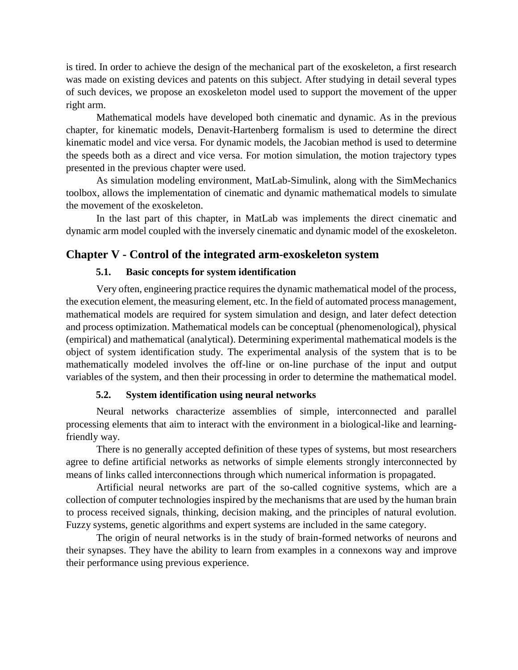is tired. In order to achieve the design of the mechanical part of the exoskeleton, a first research was made on existing devices and patents on this subject. After studying in detail several types of such devices, we propose an exoskeleton model used to support the movement of the upper right arm.

Mathematical models have developed both cinematic and dynamic. As in the previous chapter, for kinematic models, Denavit-Hartenberg formalism is used to determine the direct kinematic model and vice versa. For dynamic models, the Jacobian method is used to determine the speeds both as a direct and vice versa. For motion simulation, the motion trajectory types presented in the previous chapter were used.

As simulation modeling environment, MatLab-Simulink, along with the SimMechanics toolbox, allows the implementation of cinematic and dynamic mathematical models to simulate the movement of the exoskeleton.

In the last part of this chapter, in MatLab was implements the direct cinematic and dynamic arm model coupled with the inversely cinematic and dynamic model of the exoskeleton.

# **Chapter V - Control of the integrated arm-exoskeleton system**

#### **5.1. Basic concepts for system identification**

Very often, engineering practice requires the dynamic mathematical model of the process, the execution element, the measuring element, etc. In the field of automated process management, mathematical models are required for system simulation and design, and later defect detection and process optimization. Mathematical models can be conceptual (phenomenological), physical (empirical) and mathematical (analytical). Determining experimental mathematical models is the object of system identification study. The experimental analysis of the system that is to be mathematically modeled involves the off-line or on-line purchase of the input and output variables of the system, and then their processing in order to determine the mathematical model.

#### **5.2. System identification using neural networks**

Neural networks characterize assemblies of simple, interconnected and parallel processing elements that aim to interact with the environment in a biological-like and learningfriendly way.

There is no generally accepted definition of these types of systems, but most researchers agree to define artificial networks as networks of simple elements strongly interconnected by means of links called interconnections through which numerical information is propagated.

Artificial neural networks are part of the so-called cognitive systems, which are a collection of computer technologies inspired by the mechanisms that are used by the human brain to process received signals, thinking, decision making, and the principles of natural evolution. Fuzzy systems, genetic algorithms and expert systems are included in the same category.

The origin of neural networks is in the study of brain-formed networks of neurons and their synapses. They have the ability to learn from examples in a connexons way and improve their performance using previous experience.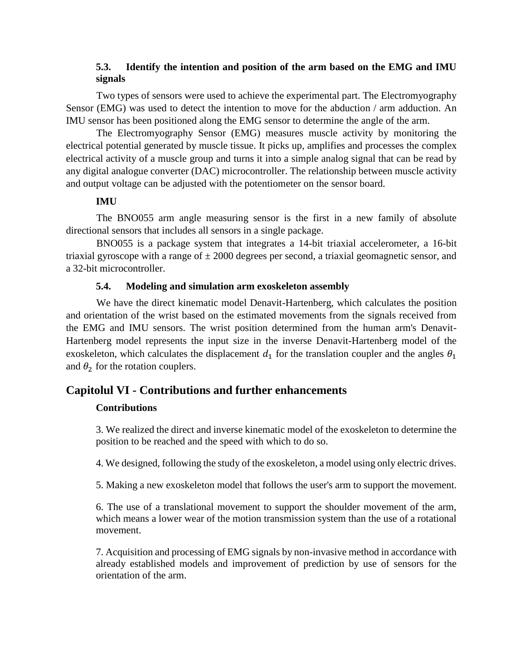# **5.3. Identify the intention and position of the arm based on the EMG and IMU signals**

Two types of sensors were used to achieve the experimental part. The Electromyography Sensor (EMG) was used to detect the intention to move for the abduction / arm adduction. An IMU sensor has been positioned along the EMG sensor to determine the angle of the arm.

The Electromyography Sensor (EMG) measures muscle activity by monitoring the electrical potential generated by muscle tissue. It picks up, amplifies and processes the complex electrical activity of a muscle group and turns it into a simple analog signal that can be read by any digital analogue converter (DAC) microcontroller. The relationship between muscle activity and output voltage can be adjusted with the potentiometer on the sensor board.

# **IMU**

The BNO055 arm angle measuring sensor is the first in a new family of absolute directional sensors that includes all sensors in a single package.

BNO055 is a package system that integrates a 14-bit triaxial accelerometer, a 16-bit triaxial gyroscope with a range of  $\pm 2000$  degrees per second, a triaxial geomagnetic sensor, and a 32-bit microcontroller.

# **5.4. Modeling and simulation arm exoskeleton assembly**

We have the direct kinematic model Denavit-Hartenberg, which calculates the position and orientation of the wrist based on the estimated movements from the signals received from the EMG and IMU sensors. The wrist position determined from the human arm's Denavit-Hartenberg model represents the input size in the inverse Denavit-Hartenberg model of the exoskeleton, which calculates the displacement  $d_1$  for the translation coupler and the angles  $\theta_1$ and  $\theta_2$  for the rotation couplers.

# **Capitolul VI - Contributions and further enhancements**

# **Contributions**

3. We realized the direct and inverse kinematic model of the exoskeleton to determine the position to be reached and the speed with which to do so.

4. We designed, following the study of the exoskeleton, a model using only electric drives.

5. Making a new exoskeleton model that follows the user's arm to support the movement.

6. The use of a translational movement to support the shoulder movement of the arm, which means a lower wear of the motion transmission system than the use of a rotational movement.

7. Acquisition and processing of EMG signals by non-invasive method in accordance with already established models and improvement of prediction by use of sensors for the orientation of the arm.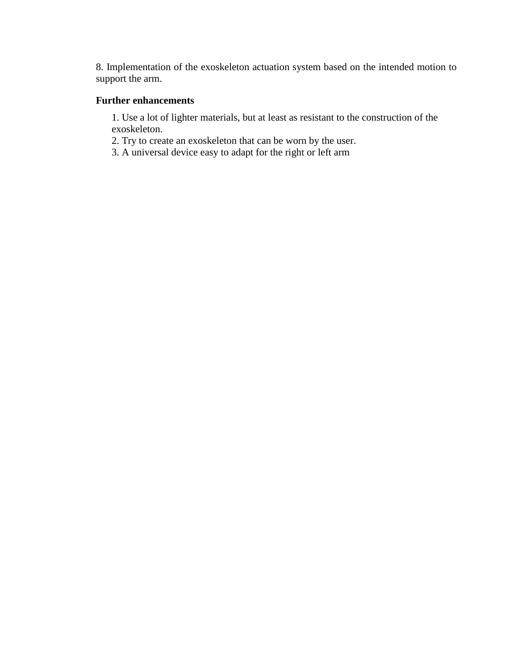8. Implementation of the exoskeleton actuation system based on the intended motion to support the arm.

#### **Further enhancements**

1. Use a lot of lighter materials, but at least as resistant to the construction of the exoskeleton.

2. Try to create an exoskeleton that can be worn by the user.

3. A universal device easy to adapt for the right or left arm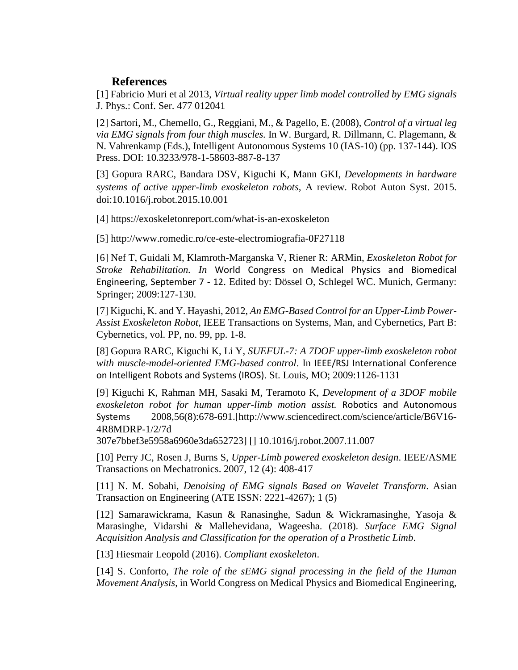# **References**

[1] Fabricio Muri et al 2013, *Virtual reality upper limb model controlled by EMG signals* J. Phys.: Conf. Ser. 477 012041

[2] Sartori, M., Chemello, G., Reggiani, M., & Pagello, E. (2008), *Control of a virtual leg via EMG signals from four thigh muscles.* In W. Burgard, R. Dillmann, C. Plagemann, & N. Vahrenkamp (Eds.), Intelligent Autonomous Systems 10 (IAS-10) (pp. 137-144). IOS Press. DOI: 10.3233/978-1-58603-887-8-137

[3] Gopura RARC, Bandara DSV, Kiguchi K, Mann GKI, *Developments in hardware systems of active upper-limb exoskeleton robots*, A review. Robot Auton Syst. 2015. doi:10.1016/j.robot.2015.10.001

[4] https://exoskeletonreport.com/what-is-an-exoskeleton

[5] http://www.romedic.ro/ce-este-electromiografia-0F27118

[6] Nef T, Guidali M, Klamroth-Marganska V, Riener R: ARMin, *Exoskeleton Robot for Stroke Rehabilitation. In* World Congress on Medical Physics and Biomedical Engineering, September 7 - 12. Edited by: Dössel O, Schlegel WC. Munich, Germany: Springer; 2009:127-130.

[7] Kiguchi, K. and Y. Hayashi, 2012, *An EMG-Based Control for an Upper-Limb Power-Assist Exoskeleton Robot*, IEEE Transactions on Systems, Man, and Cybernetics, Part B: Cybernetics, vol. PP, no. 99, pp. 1-8.

[8] Gopura RARC, Kiguchi K, Li Y, *SUEFUL-7: A 7DOF upper-limb exoskeleton robot with muscle-model-oriented EMG-based control*. In IEEE/RSJ International Conference on Intelligent Robots and Systems (IROS). St. Louis, MO; 2009:1126-1131

[9] Kiguchi K, Rahman MH, Sasaki M, Teramoto K, *Development of a 3DOF mobile exoskeleton robot for human upper-limb motion assist.* Robotics and Autonomous Systems 2008,56(8):678-691.[http://www.sciencedirect.com/science/article/B6V16- 4R8MDRP-1/2/7d

307e7bbef3e5958a6960e3da652723] [] 10.1016/j.robot.2007.11.007

[10] Perry JC, Rosen J, Burns S, *Upper-Limb powered exoskeleton design*. IEEE/ASME Transactions on Mechatronics. 2007, 12 (4): 408-417

[11] N. M. Sobahi, *Denoising of EMG signals Based on Wavelet Transform*. Asian Transaction on Engineering (ATE ISSN: 2221-4267); 1 (5)

[12] Samarawickrama, Kasun & Ranasinghe, Sadun & Wickramasinghe, Yasoja & Marasinghe, Vidarshi & Mallehevidana, Wageesha. (2018). *Surface EMG Signal Acquisition Analysis and Classification for the operation of a Prosthetic Limb*.

[13] Hiesmair Leopold (2016). *Compliant exoskeleton*.

[14] S. Conforto, *The role of the sEMG signal processing in the field of the Human Movement Analysis*, in World Congress on Medical Physics and Biomedical Engineering,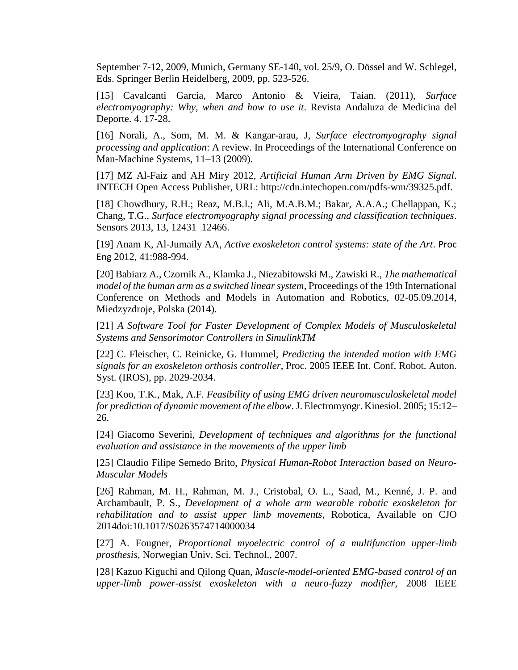September 7-12, 2009, Munich, Germany SE-140, vol. 25/9, O. Dössel and W. Schlegel, Eds. Springer Berlin Heidelberg, 2009, pp. 523-526.

[15] Cavalcanti Garcia, Marco Antonio & Vieira, Taian. (2011), *Surface electromyography: Why, when and how to use it*. Revista Andaluza de Medicina del Deporte. 4. 17-28.

[16] Norali, A., Som, M. M. & Kangar-arau, J, *Surface electromyography signal processing and application*: A review. In Proceedings of the International Conference on Man-Machine Systems, 11–13 (2009).

[17] MZ Al-Faiz and AH Miry 2012, *Artificial Human Arm Driven by EMG Signal*. INTECH Open Access Publisher, URL: http://cdn.intechopen.com/pdfs-wm/39325.pdf.

[18] Chowdhury, R.H.; Reaz, M.B.I.; Ali, M.A.B.M.; Bakar, A.A.A.; Chellappan, K.; Chang, T.G., *Surface electromyography signal processing and classification techniques*. Sensors 2013, 13, 12431–12466.

[19] Anam K, Al-Jumaily AA, *Active exoskeleton control systems: state of the Art*. Proc Eng 2012, 41:988-994.

[20] Babiarz A., Czornik A., Klamka J., Niezabitowski M., Zawiski R., *The mathematical model of the human arm as a switched linear system*, Proceedings of the 19th International Conference on Methods and Models in Automation and Robotics, 02-05.09.2014, Miedzyzdroje, Polska (2014).

[21] *A Software Tool for Faster Development of Complex Models of Musculoskeletal Systems and Sensorimotor Controllers in SimulinkTM*

[22] C. Fleischer, C. Reinicke, G. Hummel, *Predicting the intended motion with EMG signals for an exoskeleton orthosis controller*, Proc. 2005 IEEE Int. Conf. Robot. Auton. Syst. (IROS), pp. 2029-2034.

[23] Koo, T.K., Mak, A.F. *Feasibility of using EMG driven neuromusculoskeletal model for prediction of dynamic movement of the elbow*. J. Electromyogr. Kinesiol. 2005; 15:12– 26.

[24] Giacomo Severini, *Development of techniques and algorithms for the functional evaluation and assistance in the movements of the upper limb*

[25] Claudio Filipe Semedo Brito, *Physical Human-Robot Interaction based on Neuro-Muscular Models*

[26] Rahman, M. H., Rahman, M. J., Cristobal, O. L., Saad, M., Kenné, J. P. and Archambault, P. S., *Development of a whole arm wearable robotic exoskeleton for rehabilitation and to assist upper limb movements*, Robotica, Available on CJO 2014doi:10.1017/S0263574714000034

[27] A. Fougner, *Proportional myoelectric control of a multifunction upper-limb prosthesis*, Norwegian Univ. Sci. Technol., 2007.

[28] Kazuo Kiguchi and Qilong Quan, *Muscle-model-oriented EMG-based control of an upper-limb power-assist exoskeleton with a neuro-fuzzy modifier*, 2008 IEEE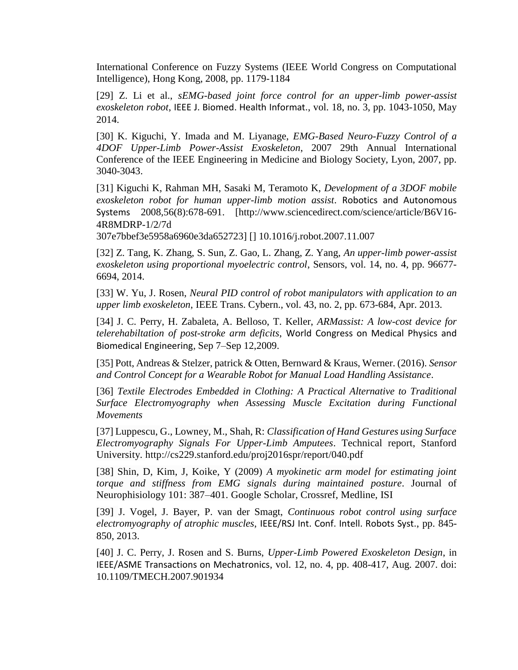International Conference on Fuzzy Systems (IEEE World Congress on Computational Intelligence), Hong Kong, 2008, pp. 1179-1184

[29] Z. Li et al., *sEMG-based joint force control for an upper-limb power-assist exoskeleton robot*, IEEE J. Biomed. Health Informat., vol. 18, no. 3, pp. 1043-1050, May 2014.

[30] K. Kiguchi, Y. Imada and M. Liyanage, *EMG-Based Neuro-Fuzzy Control of a 4DOF Upper-Limb Power-Assist Exoskeleton*, 2007 29th Annual International Conference of the IEEE Engineering in Medicine and Biology Society, Lyon, 2007, pp. 3040-3043.

[31] Kiguchi K, Rahman MH, Sasaki M, Teramoto K, *Development of a 3DOF mobile exoskeleton robot for human upper-limb motion assist*. Robotics and Autonomous Systems 2008,56(8):678-691. [http://www.sciencedirect.com/science/article/B6V16- 4R8MDRP-1/2/7d

307e7bbef3e5958a6960e3da652723] [] 10.1016/j.robot.2007.11.007

[32] Z. Tang, K. Zhang, S. Sun, Z. Gao, L. Zhang, Z. Yang, *An upper-limb power-assist exoskeleton using proportional myoelectric control*, Sensors, vol. 14, no. 4, pp. 96677- 6694, 2014.

[33] W. Yu, J. Rosen, *Neural PID control of robot manipulators with application to an upper limb exoskeleton*, IEEE Trans. Cybern., vol. 43, no. 2, pp. 673-684, Apr. 2013.

[34] J. C. Perry, H. Zabaleta, A. Belloso, T. Keller, *ARMassist: A low-cost device for telerehabiltation of post-stroke arm deficits*, World Congress on Medical Physics and Biomedical Engineering, Sep 7–Sep 12,2009.

[35] Pott, Andreas & Stelzer, patrick & Otten, Bernward & Kraus, Werner. (2016). *Sensor and Control Concept for a Wearable Robot for Manual Load Handling Assistance*.

[36] *Textile Electrodes Embedded in Clothing: A Practical Alternative to Traditional Surface Electromyography when Assessing Muscle Excitation during Functional Movements*

[37] Luppescu, G., Lowney, M., Shah, R: *Classification of Hand Gestures using Surface Electromyography Signals For Upper-Limb Amputees*. Technical report, Stanford University. http://cs229.stanford.edu/proj2016spr/report/040.pdf

[38] Shin, D, Kim, J, Koike, Y (2009) *A myokinetic arm model for estimating joint torque and stiffness from EMG signals during maintained posture*. Journal of Neurophisiology 101: 387–401. Google Scholar, Crossref, Medline, ISI

[39] J. Vogel, J. Bayer, P. van der Smagt, *Continuous robot control using surface electromyography of atrophic muscles*, IEEE/RSJ Int. Conf. Intell. Robots Syst., pp. 845- 850, 2013.

[40] J. C. Perry, J. Rosen and S. Burns, *Upper-Limb Powered Exoskeleton Design*, in IEEE/ASME Transactions on Mechatronics, vol. 12, no. 4, pp. 408-417, Aug. 2007. doi: 10.1109/TMECH.2007.901934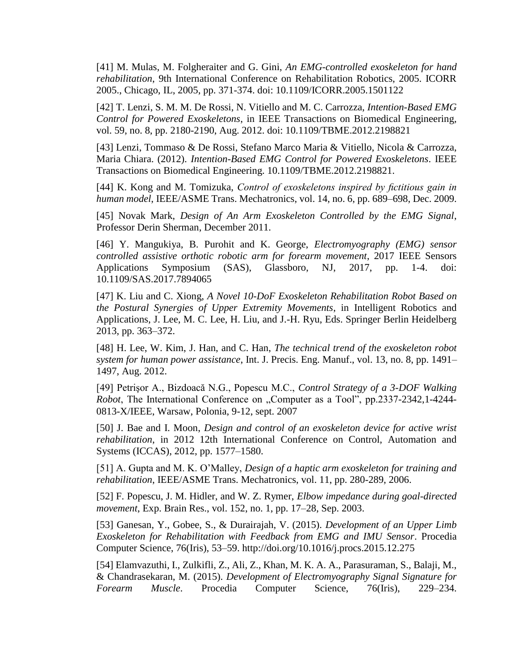[41] M. Mulas, M. Folgheraiter and G. Gini, *An EMG-controlled exoskeleton for hand rehabilitation*, 9th International Conference on Rehabilitation Robotics, 2005. ICORR 2005., Chicago, IL, 2005, pp. 371-374. doi: 10.1109/ICORR.2005.1501122

[42] T. Lenzi, S. M. M. De Rossi, N. Vitiello and M. C. Carrozza, *Intention-Based EMG Control for Powered Exoskeletons*, in IEEE Transactions on Biomedical Engineering, vol. 59, no. 8, pp. 2180-2190, Aug. 2012. doi: 10.1109/TBME.2012.2198821

[43] Lenzi, Tommaso & De Rossi, Stefano Marco Maria & Vitiello, Nicola & Carrozza, Maria Chiara. (2012). *Intention-Based EMG Control for Powered Exoskeletons*. IEEE Transactions on Biomedical Engineering. 10.1109/TBME.2012.2198821.

[44] K. Kong and M. Tomizuka, *Control of exoskeletons inspired by fictitious gain in human model*, IEEE/ASME Trans. Mechatronics, vol. 14, no. 6, pp. 689–698, Dec. 2009.

[45] Novak Mark, *Design of An Arm Exoskeleton Controlled by the EMG Signal*, Professor Derin Sherman, December 2011.

[46] Y. Mangukiya, B. Purohit and K. George, *Electromyography (EMG) sensor controlled assistive orthotic robotic arm for forearm movement*, 2017 IEEE Sensors Applications Symposium (SAS), Glassboro, NJ, 2017, pp. 1-4. doi: 10.1109/SAS.2017.7894065

[47] K. Liu and C. Xiong, *A Novel 10-DoF Exoskeleton Rehabilitation Robot Based on the Postural Synergies of Upper Extremity Movements*, in Intelligent Robotics and Applications, J. Lee, M. C. Lee, H. Liu, and J.-H. Ryu, Eds. Springer Berlin Heidelberg 2013, pp. 363–372.

[48] H. Lee, W. Kim, J. Han, and C. Han, *The technical trend of the exoskeleton robot system for human power assistance*, Int. J. Precis. Eng. Manuf., vol. 13, no. 8, pp. 1491– 1497, Aug. 2012.

[49] Petrişor A., Bizdoacă N.G., Popescu M.C., *Control Strategy of a 3-DOF Walking Robot*, The International Conference on "Computer as a Tool", pp.2337-2342,1-4244-0813-X/IEEE, Warsaw, Polonia, 9-12, sept. 2007

[50] J. Bae and I. Moon, *Design and control of an exoskeleton device for active wrist rehabilitation*, in 2012 12th International Conference on Control, Automation and Systems (ICCAS), 2012, pp. 1577–1580.

[51] A. Gupta and M. K. O'Malley, *Design of a haptic arm exoskeleton for training and rehabilitation*, IEEE/ASME Trans. Mechatronics, vol. 11, pp. 280-289, 2006.

[52] F. Popescu, J. M. Hidler, and W. Z. Rymer, *Elbow impedance during goal-directed movement*, Exp. Brain Res., vol. 152, no. 1, pp. 17–28, Sep. 2003.

[53] Ganesan, Y., Gobee, S., & Durairajah, V. (2015). *Development of an Upper Limb Exoskeleton for Rehabilitation with Feedback from EMG and IMU Sensor*. Procedia Computer Science, 76(Iris), 53–59. http://doi.org/10.1016/j.procs.2015.12.275

[54] Elamvazuthi, I., Zulkifli, Z., Ali, Z., Khan, M. K. A. A., Parasuraman, S., Balaji, M., & Chandrasekaran, M. (2015). *Development of Electromyography Signal Signature for Forearm Muscle*. Procedia Computer Science, 76(Iris), 229–234.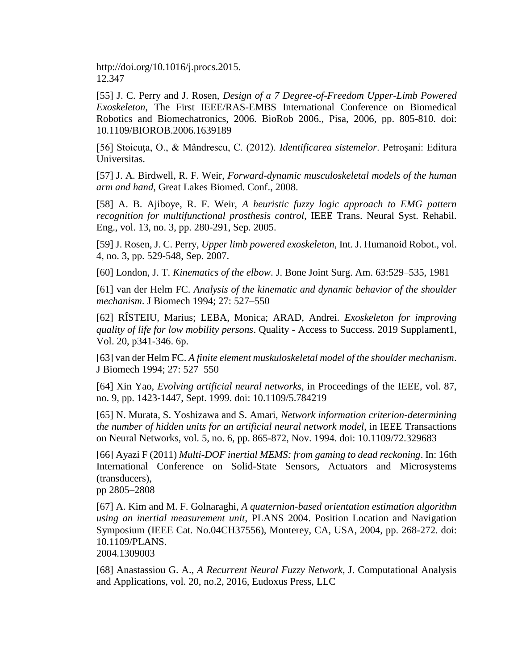http://doi.org/10.1016/j.procs.2015. 12.347

[55] J. C. Perry and J. Rosen, *Design of a 7 Degree-of-Freedom Upper-Limb Powered Exoskeleton*, The First IEEE/RAS-EMBS International Conference on Biomedical Robotics and Biomechatronics, 2006. BioRob 2006., Pisa, 2006, pp. 805-810. doi: 10.1109/BIOROB.2006.1639189

[56] Stoicuţa, O., & Mândrescu, C. (2012). *Identificarea sistemelor*. Petroşani: Editura Universitas.

[57] J. A. Birdwell, R. F. Weir, *Forward-dynamic musculoskeletal models of the human arm and hand*, Great Lakes Biomed. Conf., 2008.

[58] A. B. Ajiboye, R. F. Weir, *A heuristic fuzzy logic approach to EMG pattern recognition for multifunctional prosthesis control*, IEEE Trans. Neural Syst. Rehabil. Eng., vol. 13, no. 3, pp. 280-291, Sep. 2005.

[59] J. Rosen, J. C. Perry, *Upper limb powered exoskeleton*, Int. J. Humanoid Robot., vol. 4, no. 3, pp. 529-548, Sep. 2007.

[60] London, J. T. *Kinematics of the elbow*. J. Bone Joint Surg. Am. 63:529–535, 1981

[61] van der Helm FC. *Analysis of the kinematic and dynamic behavior of the shoulder mechanism*. J Biomech 1994; 27: 527–550

[62] RÎSTEIU, Marius; LEBA, Monica; ARAD, Andrei. *Exoskeleton for improving quality of life for low mobility persons*. Quality - Access to Success. 2019 Supplament1, Vol. 20, p341-346. 6p.

[63] van der Helm FC. *A finite element muskuloskeletal model of the shoulder mechanism*. J Biomech 1994; 27: 527–550

[64] Xin Yao, *Evolving artificial neural networks*, in Proceedings of the IEEE, vol. 87, no. 9, pp. 1423-1447, Sept. 1999. doi: 10.1109/5.784219

[65] N. Murata, S. Yoshizawa and S. Amari, *Network information criterion-determining the number of hidden units for an artificial neural network model*, in IEEE Transactions on Neural Networks, vol. 5, no. 6, pp. 865-872, Nov. 1994. doi: 10.1109/72.329683

[66] Ayazi F (2011) *Multi-DOF inertial MEMS: from gaming to dead reckoning*. In: 16th International Conference on Solid-State Sensors, Actuators and Microsystems (transducers),

pp 2805–2808

[67] A. Kim and M. F. Golnaraghi, *A quaternion-based orientation estimation algorithm using an inertial measurement unit*, PLANS 2004. Position Location and Navigation Symposium (IEEE Cat. No.04CH37556), Monterey, CA, USA, 2004, pp. 268-272. doi: 10.1109/PLANS.

2004.1309003

[68] Anastassiou G. A., *A Recurrent Neural Fuzzy Network*, J. Computational Analysis and Applications, vol. 20, no.2, 2016, Eudoxus Press, LLC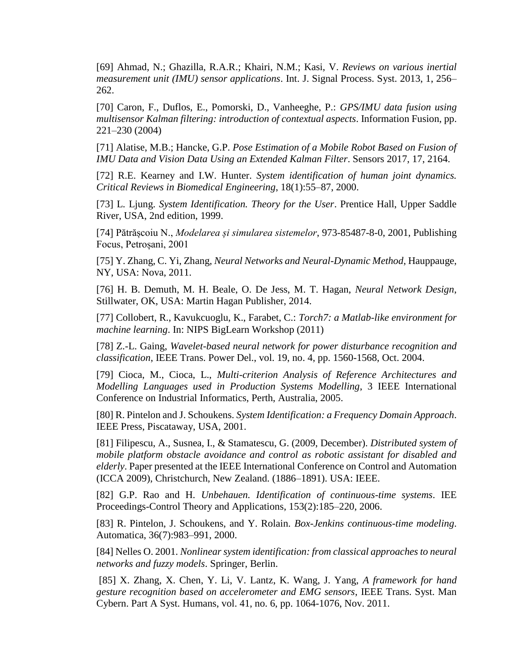[69] Ahmad, N.; Ghazilla, R.A.R.; Khairi, N.M.; Kasi, V. *Reviews on various inertial measurement unit (IMU) sensor applications*. Int. J. Signal Process. Syst. 2013, 1, 256– 262.

[70] Caron, F., Duflos, E., Pomorski, D., Vanheeghe, P.: *GPS/IMU data fusion using multisensor Kalman filtering: introduction of contextual aspects*. Information Fusion, pp. 221–230 (2004)

[71] Alatise, M.B.; Hancke, G.P. *Pose Estimation of a Mobile Robot Based on Fusion of IMU Data and Vision Data Using an Extended Kalman Filter*. Sensors 2017, 17, 2164.

[72] R.E. Kearney and I.W. Hunter. *System identification of human joint dynamics. Critical Reviews in Biomedical Engineering*, 18(1):55–87, 2000.

[73] L. Ljung. *System Identification. Theory for the User*. Prentice Hall, Upper Saddle River, USA, 2nd edition, 1999.

[74] Pătrășcoiu N., *Modelarea și simularea sistemelor*, 973-85487-8-0, 2001, Publishing Focus, Petroșani, 2001

[75] Y. Zhang, C. Yi, Zhang, *Neural Networks and Neural-Dynamic Method*, Hauppauge, NY, USA: Nova, 2011.

[76] H. B. Demuth, M. H. Beale, O. De Jess, M. T. Hagan, *Neural Network Design*, Stillwater, OK, USA: Martin Hagan Publisher, 2014.

[77] Collobert, R., Kavukcuoglu, K., Farabet, C.: *Torch7: a Matlab-like environment for machine learning*. In: NIPS BigLearn Workshop (2011)

[78] Z.-L. Gaing, *Wavelet-based neural network for power disturbance recognition and classification*, IEEE Trans. Power Del., vol. 19, no. 4, pp. 1560-1568, Oct. 2004.

[79] Cioca, M., Cioca, L., *Multi-criterion Analysis of Reference Architectures and Modelling Languages used in Production Systems Modelling*, 3 IEEE International Conference on Industrial Informatics, Perth, Australia, 2005.

[80] R. Pintelon and J. Schoukens. *System Identification: a Frequency Domain Approach*. IEEE Press, Piscataway, USA, 2001.

[81] Filipescu, A., Susnea, I., & Stamatescu, G. (2009, December). *Distributed system of mobile platform obstacle avoidance and control as robotic assistant for disabled and elderly*. Paper presented at the IEEE International Conference on Control and Automation (ICCA 2009), Christchurch, New Zealand. (1886–1891). USA: IEEE.

[82] G.P. Rao and H. *Unbehauen. Identification of continuous-time systems*. IEE Proceedings-Control Theory and Applications, 153(2):185–220, 2006.

[83] R. Pintelon, J. Schoukens, and Y. Rolain. *Box-Jenkins continuous-time modeling*. Automatica, 36(7):983–991, 2000.

[84] Nelles O. 2001. *Nonlinear system identification: from classical approaches to neural networks and fuzzy models*. Springer, Berlin.

[85] X. Zhang, X. Chen, Y. Li, V. Lantz, K. Wang, J. Yang, *A framework for hand gesture recognition based on accelerometer and EMG sensors*, IEEE Trans. Syst. Man Cybern. Part A Syst. Humans, vol. 41, no. 6, pp. 1064-1076, Nov. 2011.